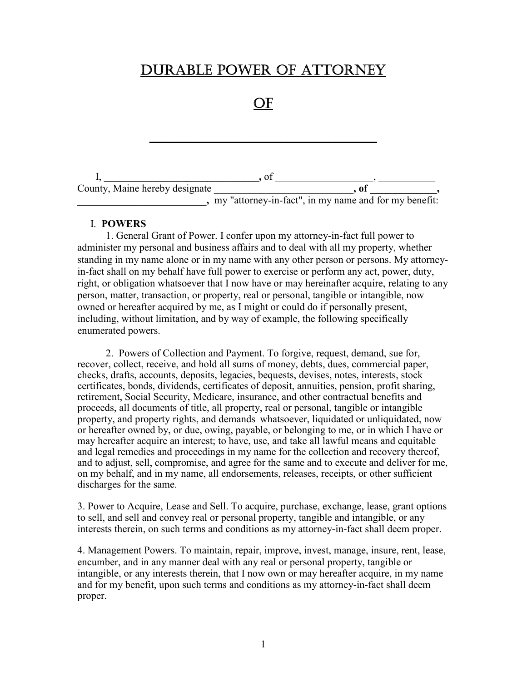# DURABLE POWER OF ATTORNEY

OF

\_\_\_\_\_\_\_\_\_\_\_\_\_\_\_\_\_\_\_\_\_\_\_\_\_\_\_\_\_\_\_\_\_

|                                | ΩI                                                    |    |  |
|--------------------------------|-------------------------------------------------------|----|--|
| County, Maine hereby designate |                                                       | 01 |  |
|                                | my "attorney-in-fact", in my name and for my benefit: |    |  |

#### I. **POWERS**

1. General Grant of Power. I confer upon my attorney-in-fact full power to administer my personal and business affairs and to deal with all my property, whether standing in my name alone or in my name with any other person or persons. My attorneyin-fact shall on my behalf have full power to exercise or perform any act, power, duty, right, or obligation whatsoever that I now have or may hereinafter acquire, relating to any person, matter, transaction, or property, real or personal, tangible or intangible, now owned or hereafter acquired by me, as I might or could do if personally present, including, without limitation, and by way of example, the following specifically enumerated powers.

2. Powers of Collection and Payment. To forgive, request, demand, sue for, recover, collect, receive, and hold all sums of money, debts, dues, commercial paper, checks, drafts, accounts, deposits, legacies, bequests, devises, notes, interests, stock certificates, bonds, dividends, certificates of deposit, annuities, pension, profit sharing, retirement, Social Security, Medicare, insurance, and other contractual benefits and proceeds, all documents of title, all property, real or personal, tangible or intangible property, and property rights, and demands whatsoever, liquidated or unliquidated, now or hereafter owned by, or due, owing, payable, or belonging to me, or in which I have or may hereafter acquire an interest; to have, use, and take all lawful means and equitable and legal remedies and proceedings in my name for the collection and recovery thereof, and to adjust, sell, compromise, and agree for the same and to execute and deliver for me, on my behalf, and in my name, all endorsements, releases, receipts, or other sufficient discharges for the same.

3. Power to Acquire, Lease and Sell. To acquire, purchase, exchange, lease, grant options to sell, and sell and convey real or personal property, tangible and intangible, or any interests therein, on such terms and conditions as my attorney-in-fact shall deem proper.

4. Management Powers. To maintain, repair, improve, invest, manage, insure, rent, lease, encumber, and in any manner deal with any real or personal property, tangible or intangible, or any interests therein, that I now own or may hereafter acquire, in my name and for my benefit, upon such terms and conditions as my attorney-in-fact shall deem proper.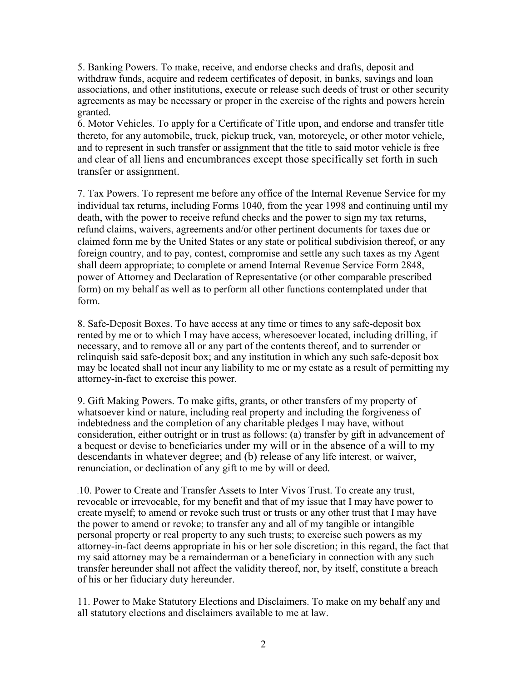5. Banking Powers. To make, receive, and endorse checks and drafts, deposit and withdraw funds, acquire and redeem certificates of deposit, in banks, savings and loan associations, and other institutions, execute or release such deeds of trust or other security agreements as may be necessary or proper in the exercise of the rights and powers herein granted.

6. Motor Vehicles. To apply for a Certificate of Title upon, and endorse and transfer title thereto, for any automobile, truck, pickup truck, van, motorcycle, or other motor vehicle, and to represent in such transfer or assignment that the title to said motor vehicle is free and clear of all liens and encumbrances except those specifically set forth in such transfer or assignment.

7. Tax Powers. To represent me before any office of the Internal Revenue Service for my individual tax returns, including Forms 1040, from the year 1998 and continuing until my death, with the power to receive refund checks and the power to sign my tax returns, refund claims, waivers, agreements and/or other pertinent documents for taxes due or claimed form me by the United States or any state or political subdivision thereof, or any foreign country, and to pay, contest, compromise and settle any such taxes as my Agent shall deem appropriate; to complete or amend Internal Revenue Service Form 2848, power of Attorney and Declaration of Representative (or other comparable prescribed form) on my behalf as well as to perform all other functions contemplated under that form.

8. Safe-Deposit Boxes. To have access at any time or times to any safe-deposit box rented by me or to which I may have access, wheresoever located, including drilling, if necessary, and to remove all or any part of the contents thereof, and to surrender or relinquish said safe-deposit box; and any institution in which any such safe-deposit box may be located shall not incur any liability to me or my estate as a result of permitting my attorney-in-fact to exercise this power.

9. Gift Making Powers. To make gifts, grants, or other transfers of my property of whatsoever kind or nature, including real property and including the forgiveness of indebtedness and the completion of any charitable pledges I may have, without consideration, either outright or in trust as follows: (a) transfer by gift in advancement of a bequest or devise to beneficiaries under my will or in the absence of a will to my descendants in whatever degree; and (b) release of any life interest, or waiver, renunciation, or declination of any gift to me by will or deed.

10. Power to Create and Transfer Assets to Inter Vivos Trust. To create any trust, revocable or irrevocable, for my benefit and that of my issue that I may have power to create myself; to amend or revoke such trust or trusts or any other trust that I may have the power to amend or revoke; to transfer any and all of my tangible or intangible personal property or real property to any such trusts; to exercise such powers as my attorney-in-fact deems appropriate in his or her sole discretion; in this regard, the fact that my said attorney may be a remainderman or a beneficiary in connection with any such transfer hereunder shall not affect the validity thereof, nor, by itself, constitute a breach of his or her fiduciary duty hereunder.

11. Power to Make Statutory Elections and Disclaimers. To make on my behalf any and all statutory elections and disclaimers available to me at law.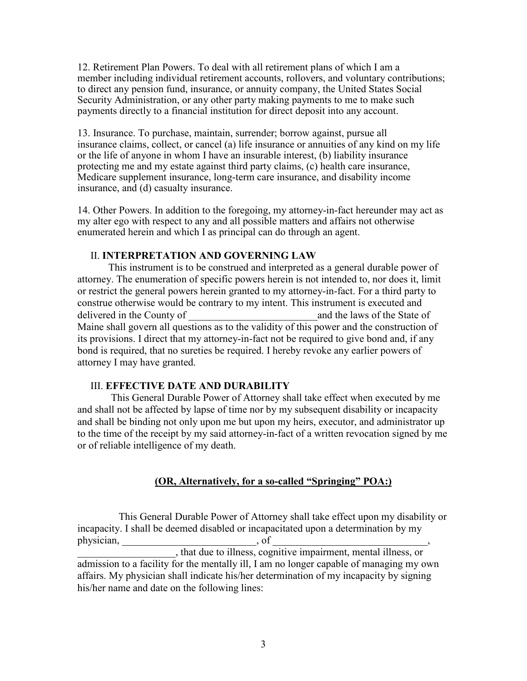12. Retirement Plan Powers. To deal with all retirement plans of which I am a member including individual retirement accounts, rollovers, and voluntary contributions; to direct any pension fund, insurance, or annuity company, the United States Social Security Administration, or any other party making payments to me to make such payments directly to a financial institution for direct deposit into any account.

13. Insurance. To purchase, maintain, surrender; borrow against, pursue all insurance claims, collect, or cancel (a) life insurance or annuities of any kind on my life or the life of anyone in whom I have an insurable interest, (b) liability insurance protecting me and my estate against third party claims, (c) health care insurance, Medicare supplement insurance, long-term care insurance, and disability income insurance, and (d) casualty insurance.

14. Other Powers. In addition to the foregoing, my attorney-in-fact hereunder may act as my alter ego with respect to any and all possible matters and affairs not otherwise enumerated herein and which I as principal can do through an agent.

### II. **INTERPRETATION AND GOVERNING LAW**

This instrument is to be construed and interpreted as a general durable power of attorney. The enumeration of specific powers herein is not intended to, nor does it, limit or restrict the general powers herein granted to my attorney-in-fact. For a third party to construe otherwise would be contrary to my intent. This instrument is executed and delivered in the County of and the laws of the State of  $\Box$ Maine shall govern all questions as to the validity of this power and the construction of its provisions. I direct that my attorney-in-fact not be required to give bond and, if any bond is required, that no sureties be required. I hereby revoke any earlier powers of attorney I may have granted.

#### III. **EFFECTIVE DATE AND DURABILITY**

This General Durable Power of Attorney shall take effect when executed by me and shall not be affected by lapse of time nor by my subsequent disability or incapacity and shall be binding not only upon me but upon my heirs, executor, and administrator up to the time of the receipt by my said attorney-in-fact of a written revocation signed by me or of reliable intelligence of my death.

## **(OR, Alternatively, for a so-called "Springing" POA:)**

This General Durable Power of Attorney shall take effect upon my disability or incapacity. I shall be deemed disabled or incapacitated upon a determination by my  $physician,$   $of$ 

\_\_\_\_\_\_\_\_\_\_\_\_\_\_\_\_\_\_\_, that due to illness, cognitive impairment, mental illness, or admission to a facility for the mentally ill, I am no longer capable of managing my own affairs. My physician shall indicate his/her determination of my incapacity by signing his/her name and date on the following lines: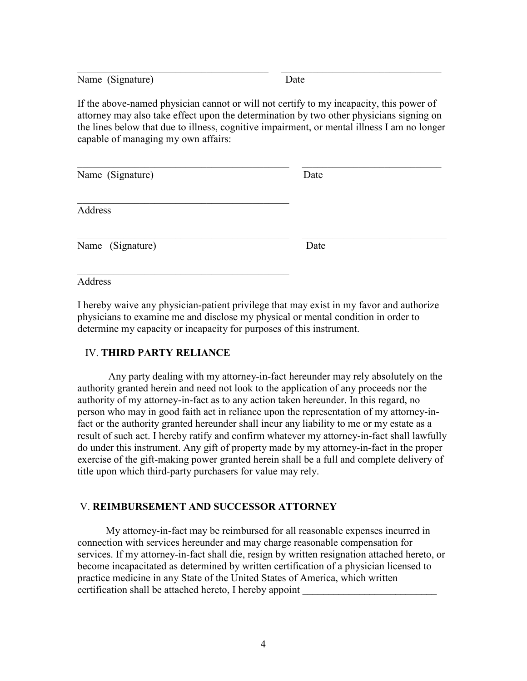Name (Signature) Date

If the above-named physician cannot or will not certify to my incapacity, this power of attorney may also take effect upon the determination by two other physicians signing on the lines below that due to illness, cognitive impairment, or mental illness I am no longer capable of managing my own affairs:

 $\mathcal{L}_\text{max}$  , and the contribution of the contribution of the contribution of the contribution of the contribution of the contribution of the contribution of the contribution of the contribution of the contribution of t

| Name (Signature) | Date |  |
|------------------|------|--|
| Address          |      |  |
| Name (Signature) | Date |  |

Address

I hereby waive any physician-patient privilege that may exist in my favor and authorize physicians to examine me and disclose my physical or mental condition in order to determine my capacity or incapacity for purposes of this instrument.

## IV. **THIRD PARTY RELIANCE**

 $\mathcal{L}_\text{max}$  , and the set of the set of the set of the set of the set of the set of the set of the set of the set of the set of the set of the set of the set of the set of the set of the set of the set of the set of the

Any party dealing with my attorney-in-fact hereunder may rely absolutely on the authority granted herein and need not look to the application of any proceeds nor the authority of my attorney-in-fact as to any action taken hereunder. In this regard, no person who may in good faith act in reliance upon the representation of my attorney-infact or the authority granted hereunder shall incur any liability to me or my estate as a result of such act. I hereby ratify and confirm whatever my attorney-in-fact shall lawfully do under this instrument. Any gift of property made by my attorney-in-fact in the proper exercise of the gift-making power granted herein shall be a full and complete delivery of title upon which third-party purchasers for value may rely.

## V. **REIMBURSEMENT AND SUCCESSOR ATTORNEY**

My attorney-in-fact may be reimbursed for all reasonable expenses incurred in connection with services hereunder and may charge reasonable compensation for services. If my attorney-in-fact shall die, resign by written resignation attached hereto, or become incapacitated as determined by written certification of a physician licensed to practice medicine in any State of the United States of America, which written certification shall be attached hereto, I hereby appoint **\_\_\_\_\_\_\_\_\_\_\_\_\_\_\_\_\_\_\_\_\_\_\_\_\_\_**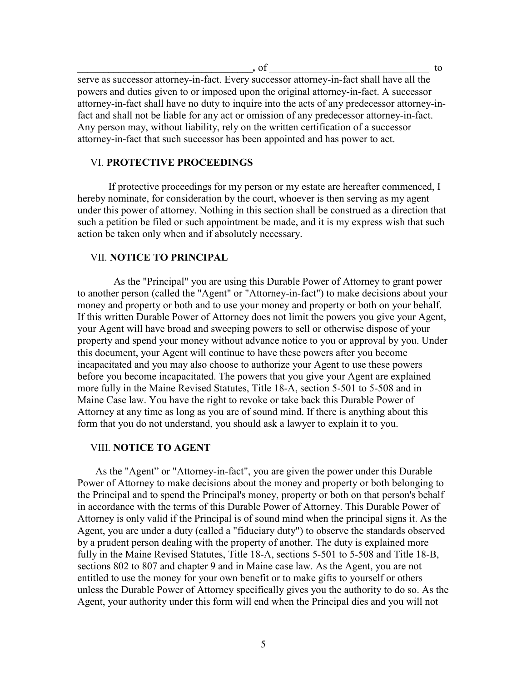**\_\_\_\_\_\_\_\_\_\_\_\_\_\_\_\_\_\_\_\_\_\_\_\_\_\_\_\_\_\_\_\_\_\_***,* of \_\_\_\_\_\_\_\_\_\_\_\_\_\_\_\_\_\_\_\_\_\_\_\_\_\_\_\_\_\_\_ to

serve as successor attorney-in-fact. Every successor attorney-in-fact shall have all the powers and duties given to or imposed upon the original attorney-in-fact. A successor attorney-in-fact shall have no duty to inquire into the acts of any predecessor attorney-infact and shall not be liable for any act or omission of any predecessor attorney-in-fact. Any person may, without liability, rely on the written certification of a successor attorney-in-fact that such successor has been appointed and has power to act.

## VI. **PROTECTIVE PROCEEDINGS**

If protective proceedings for my person or my estate are hereafter commenced, I hereby nominate, for consideration by the court, whoever is then serving as my agent under this power of attorney. Nothing in this section shall be construed as a direction that such a petition be filed or such appointment be made, and it is my express wish that such action be taken only when and if absolutely necessary.

#### VII. **NOTICE TO PRINCIPAL**

As the "Principal" you are using this Durable Power of Attorney to grant power to another person (called the "Agent" or "Attorney-in-fact") to make decisions about your money and property or both and to use your money and property or both on your behalf. If this written Durable Power of Attorney does not limit the powers you give your Agent, your Agent will have broad and sweeping powers to sell or otherwise dispose of your property and spend your money without advance notice to you or approval by you. Under this document, your Agent will continue to have these powers after you become incapacitated and you may also choose to authorize your Agent to use these powers before you become incapacitated. The powers that you give your Agent are explained more fully in the Maine Revised Statutes, Title 18-A, section 5-501 to 5-508 and in Maine Case law. You have the right to revoke or take back this Durable Power of Attorney at any time as long as you are of sound mind. If there is anything about this form that you do not understand, you should ask a lawyer to explain it to you.

#### VIII. **NOTICE TO AGENT**

As the "Agent" or "Attorney-in-fact", you are given the power under this Durable Power of Attorney to make decisions about the money and property or both belonging to the Principal and to spend the Principal's money, property or both on that person's behalf in accordance with the terms of this Durable Power of Attorney. This Durable Power of Attorney is only valid if the Principal is of sound mind when the principal signs it. As the Agent, you are under a duty (called a "fiduciary duty") to observe the standards observed by a prudent person dealing with the property of another. The duty is explained more fully in the Maine Revised Statutes, Title 18-A, sections 5-501 to 5-508 and Title 18-B, sections 802 to 807 and chapter 9 and in Maine case law. As the Agent, you are not entitled to use the money for your own benefit or to make gifts to yourself or others unless the Durable Power of Attorney specifically gives you the authority to do so. As the Agent, your authority under this form will end when the Principal dies and you will not